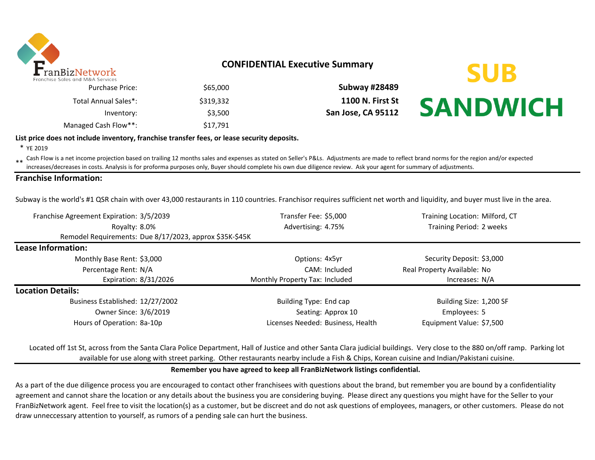

### **CONFIDENTIAL Executive Summary**

| \$65,000  |
|-----------|
| \$319.332 |
| \$3,500   |
| \$17,791  |
|           |

\$65,000 **Subway #28489** \$319,332 **1100 N. First St San Jose, CA 95112** 



#### **List price does not include inventory, franchise transfer fees, or lease security deposits.**

\* YE 2019

\*\* Cash Flow is a net income projection based on trailing 12 months sales and expenses as stated on Seller's P&Ls. Adjustments are made to reflect brand norms for the region and/or expected in costs. Analysis is for profor increases/decreases in costs. Analysis is for proforma purposes only, Buyer should complete his own due diligence review. Ask your agent for summary of adjustments.

#### **Franchise Information:**

Subway is the world's #1 QSR chain with over 43,000 restaurants in 110 countries. Franchisor requires sufficient net worth and liquidity, and buyer must live in the area.

| Franchise Agreement Expiration: 3/5/2039                |                                  | Transfer Fee: \$5,000             | Training Location: Milford, CT |  |  |
|---------------------------------------------------------|----------------------------------|-----------------------------------|--------------------------------|--|--|
| Royalty: 8.0%                                           |                                  | Advertising: 4.75%                | Training Period: 2 weeks       |  |  |
| Remodel Requirements: Due 8/17/2023, approx \$35K-\$45K |                                  |                                   |                                |  |  |
| Lease Information:                                      |                                  |                                   |                                |  |  |
| Monthly Base Rent: \$3,000                              |                                  | Options: 4x5yr                    | Security Deposit: \$3,000      |  |  |
| Percentage Rent: N/A                                    |                                  | CAM: Included                     | Real Property Available: No    |  |  |
| Expiration: 8/31/2026                                   |                                  | Monthly Property Tax: Included    | Increases: N/A                 |  |  |
| <b>Location Details:</b>                                |                                  |                                   |                                |  |  |
|                                                         | Business Established: 12/27/2002 |                                   | Building Size: 1,200 SF        |  |  |
| Owner Since: 3/6/2019                                   |                                  | Seating: Approx 10                | Employees: 5                   |  |  |
| Hours of Operation: 8a-10p                              |                                  | Licenses Needed: Business, Health | Equipment Value: \$7,500       |  |  |

Located off 1st St, across from the Santa Clara Police Department, Hall of Justice and other Santa Clara judicial buildings. Very close to the 880 on/off ramp. Parking lot available for use along with street parking. Other restaurants nearby include a Fish & Chips, Korean cuisine and Indian/Pakistani cuisine.

#### **Remember you have agreed to keep all FranBizNetwork listings confidential.**

As a part of the due diligence process you are encouraged to contact other franchisees with questions about the brand, but remember you are bound by a confidentiality agreement and cannot share the location or any details about the business you are considering buying. Please direct any questions you might have for the Seller to your FranBizNetwork agent. Feel free to visit the location(s) as a customer, but be discreet and do not ask questions of employees, managers, or other customers. Please do not draw unneccessary attention to yourself, as rumors of a pending sale can hurt the business.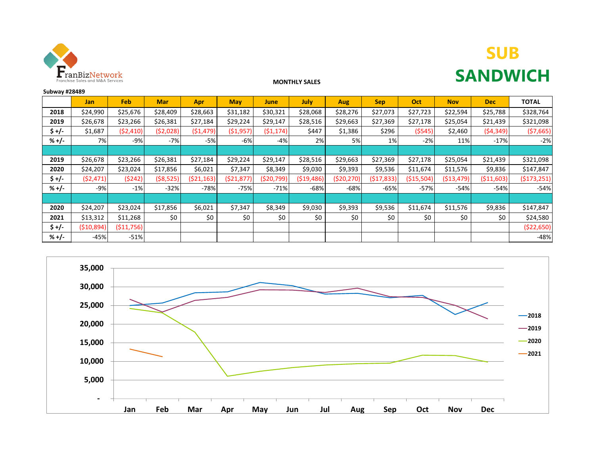

# **SUB SANDWICH**

#### **MONTHLY SALES**

| <b>Subway #28489</b> |            |             |            |            |            |            |             |            |            |            |             |             |              |
|----------------------|------------|-------------|------------|------------|------------|------------|-------------|------------|------------|------------|-------------|-------------|--------------|
|                      | <b>Jan</b> | Feb         | <b>Mar</b> | Apr        | <b>May</b> | June       | <b>July</b> | Aug        | <b>Sep</b> | Oct        | <b>Nov</b>  | <b>Dec</b>  | <b>TOTAL</b> |
| 2018                 | \$24,990   | \$25,676    | \$28,409   | \$28,663   | \$31,182   | \$30,321   | \$28,068    | \$28,276   | \$27,073   | \$27,723   | \$22,594    | \$25,788    | \$328,764    |
| 2019                 | \$26,678   | \$23,266    | \$26,381   | \$27,184   | \$29,224   | \$29,147   | \$28,516    | \$29,663   | \$27,369   | \$27,178   | \$25,054    | \$21,439    | \$321,098    |
| \$+/-                | \$1,687    | (52, 410)   | ( \$2,028) | (51, 479)  | (\$1,957)  | (51, 174)  | \$447       | \$1,386    | \$296      | (5545)     | \$2,460     | (54, 349)   | (57,665)     |
| $% +/-$              | 7%         | $-9%$       | $-7%$      | $-5%$      | $-6%$      | $-4%$      | 2%          | 5%         | 1%         | $-2%$      | 11%         | $-17%$      | $-2%$        |
|                      |            |             |            |            |            |            |             |            |            |            |             |             |              |
| 2019                 | \$26,678   | \$23,266    | \$26,381   | \$27,184   | \$29,224   | \$29,147   | \$28,516    | \$29,663   | \$27,369   | \$27,178   | \$25,054    | \$21,439    | \$321,098    |
| 2020                 | \$24,207   | \$23,024    | \$17,856   | \$6,021    | \$7,347    | \$8,349    | \$9,030     | \$9,393    | \$9,536    | \$11,674   | \$11,576    | \$9,836     | \$147,847    |
| \$+/-                | (52, 471)  | (5242)      | ( \$8,525) | (521, 163) | (521, 877) | (520, 799) | (\$19,486)  | (\$20,270) | (517, 833) | (\$15,504) | ( \$13,479) | ( \$11,603) | (5173, 251)  |
| $% +/-$              | $-9%$      | $-1%$       | $-32%$     | $-78%$     | $-75%$     | $-71%$     | $-68%$      | $-68%$     | -65%       | $-57%$     | $-54%$      | $-54%$      | $-54%$       |
|                      |            |             |            |            |            |            |             |            |            |            |             |             |              |
| 2020                 | \$24,207   | \$23,024    | \$17,856   | \$6,021    | \$7,347    | \$8,349    | \$9,030     | \$9,393    | \$9,536    | \$11,674   | \$11,576    | \$9,836     | \$147,847    |
| 2021                 | \$13,312   | \$11,268    | \$0        | \$0        | \$0        | \$0        | \$0         | \$0        | \$0        | \$0        | \$0         | \$0         | \$24,580     |
| $$+/-$               | (510, 894) | ( \$11,756) |            |            |            |            |             |            |            |            |             |             | ( \$22,650)  |
| $% +/-$              | $-45%$     | $-51%$      |            |            |            |            |             |            |            |            |             |             | $-48%$       |